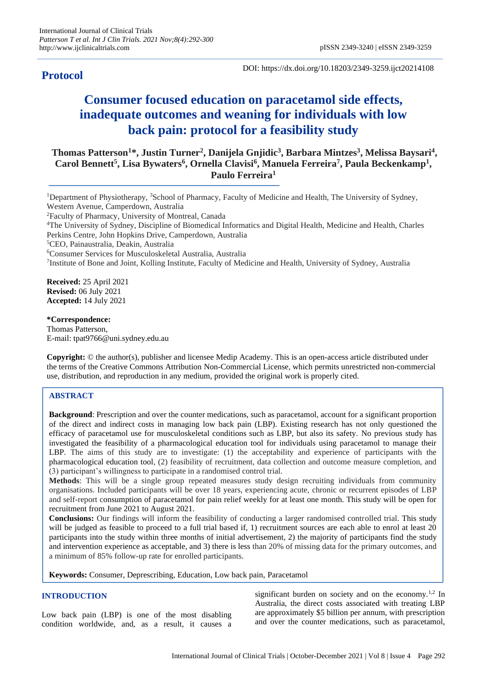## **Protocol**

DOI: https://dx.doi.org/10.18203/2349-3259.ijct20214108

# **Consumer focused education on paracetamol side effects, inadequate outcomes and weaning for individuals with low back pain: protocol for a feasibility study**

**Thomas Patterson<sup>1</sup>\*, Justin Turner<sup>2</sup> , Danijela Gnjidic<sup>3</sup> , Barbara Mintzes<sup>3</sup> , Melissa Baysari<sup>4</sup> , Carol Bennett<sup>5</sup> , Lisa Bywaters<sup>6</sup> , Ornella Clavisi<sup>6</sup> , Manuela Ferreira<sup>7</sup> , Paula Beckenkamp<sup>1</sup> , Paulo Ferreira<sup>1</sup>**

<sup>1</sup>Department of Physiotherapy, <sup>3</sup>School of Pharmacy, Faculty of Medicine and Health, The University of Sydney, Western Avenue, Camperdown, Australia <sup>2</sup>Faculty of Pharmacy, University of Montreal, Canada <sup>4</sup>The University of Sydney, Discipline of Biomedical Informatics and Digital Health, Medicine and Health, Charles Perkins Centre, John Hopkins Drive, Camperdown, Australia <sup>5</sup>CEO, Painaustralia, Deakin, Australia <sup>6</sup>Consumer Services for Musculoskeletal Australia, Australia 7 Institute of Bone and Joint, Kolling Institute, Faculty of Medicine and Health, University of Sydney, Australia **Received:** 25 April 2021 **Revised:** 06 July 2021 **Accepted:** 14 July 2021

**\*Correspondence:** Thomas Patterson, E-mail: tpat9766@uni.sydney.edu.au

**Copyright:** © the author(s), publisher and licensee Medip Academy. This is an open-access article distributed under the terms of the Creative Commons Attribution Non-Commercial License, which permits unrestricted non-commercial use, distribution, and reproduction in any medium, provided the original work is properly cited.

## **ABSTRACT**

**Background**: Prescription and over the counter medications, such as paracetamol, account for a significant proportion of the direct and indirect costs in managing low back pain (LBP). Existing research has not only questioned the efficacy of paracetamol use for musculoskeletal conditions such as LBP, but also its safety. No previous study has investigated the feasibility of a pharmacological education tool for individuals using paracetamol to manage their LBP. The aims of this study are to investigate: (1) the acceptability and experience of participants with the pharmacological education tool, (2) feasibility of recruitment, data collection and outcome measure completion, and (3) participant's willingness to participate in a randomised control trial.

**Methods**: This will be a single group repeated measures study design recruiting individuals from community organisations. Included participants will be over 18 years, experiencing acute, chronic or recurrent episodes of LBP and self-report consumption of paracetamol for pain relief weekly for at least one month. This study will be open for recruitment from June 2021 to August 2021.

**Conclusions:** Our findings will inform the feasibility of conducting a larger randomised controlled trial. This study will be judged as feasible to proceed to a full trial based if, 1) recruitment sources are each able to enrol at least 20 participants into the study within three months of initial advertisement, 2) the majority of participants find the study and intervention experience as acceptable, and 3) there is less than 20% of missing data for the primary outcomes, and a minimum of 85% follow-up rate for enrolled participants.

**Keywords:** Consumer, Deprescribing, Education, Low back pain, Paracetamol

## **INTRODUCTION**

Low back pain (LBP) is one of the most disabling condition worldwide, and, as a result, it causes a

significant burden on society and on the economy.<sup>1,2</sup> In Australia, the direct costs associated with treating LBP are approximately \$5 billion per annum, with prescription and over the counter medications, such as paracetamol,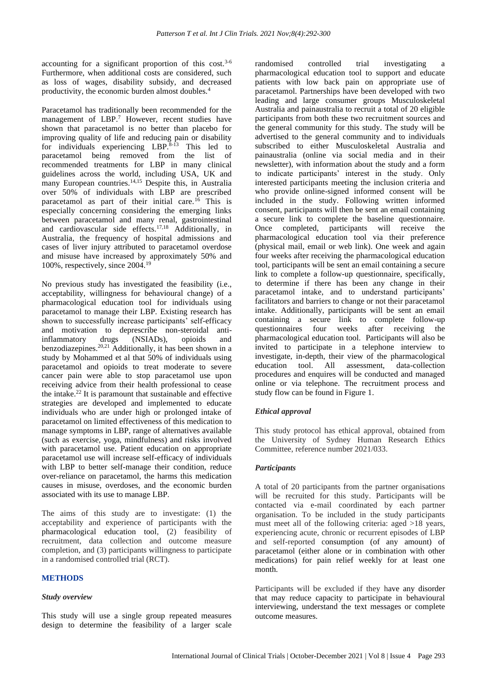accounting for a significant proportion of this cost.<sup>3-6</sup> Furthermore, when additional costs are considered, such as loss of wages, disability subsidy, and decreased productivity, the economic burden almost doubles.<sup>4</sup>

Paracetamol has traditionally been recommended for the management of LBP.<sup>7</sup> However, recent studies have shown that paracetamol is no better than placebo for improving quality of life and reducing pain or disability for individuals experiencing  $LBP^{8-13}$  This led to paracetamol being removed from the list of recommended treatments for LBP in many clinical guidelines across the world, including USA, UK and many European countries.<sup>14,15</sup> Despite this, in Australia over 50% of individuals with LBP are prescribed paracetamol as part of their initial care.<sup>16</sup> This is especially concerning considering the emerging links between paracetamol and many renal, gastrointestinal and cardiovascular side effects.17,18 Additionally, in Australia, the frequency of hospital admissions and cases of liver injury attributed to paracetamol overdose and misuse have increased by approximately 50% and 100%, respectively, since 2004.<sup>19</sup>

No previous study has investigated the feasibility (i.e., acceptability, willingness for behavioural change) of a pharmacological education tool for individuals using paracetamol to manage their LBP. Existing research has shown to successfully increase participants' self-efficacy and motivation to deprescribe non-steroidal antiinflammatory drugs (NSIADs), opioids and benzodiazepines.20,21 Additionally, it has been shown in a study by Mohammed et al that 50% of individuals using paracetamol and opioids to treat moderate to severe cancer pain were able to stop paracetamol use upon receiving advice from their health professional to cease the intake.<sup>22</sup> It is paramount that sustainable and effective strategies are developed and implemented to educate individuals who are under high or prolonged intake of paracetamol on limited effectiveness of this medication to manage symptoms in LBP, range of alternatives available (such as exercise, yoga, mindfulness) and risks involved with paracetamol use. Patient education on appropriate paracetamol use will increase self-efficacy of individuals with LBP to better self-manage their condition, reduce over-reliance on paracetamol, the harms this medication causes in misuse, overdoses, and the economic burden associated with its use to manage LBP.

The aims of this study are to investigate: (1) the acceptability and experience of participants with the pharmacological education tool, (2) feasibility of recruitment, data collection and outcome measure completion, and (3) participants willingness to participate in a randomised controlled trial (RCT).

## **METHODS**

#### *Study overview*

This study will use a single group repeated measures design to determine the feasibility of a larger scale randomised controlled trial investigating a pharmacological education tool to support and educate patients with low back pain on appropriate use of paracetamol. Partnerships have been developed with two leading and large consumer groups Musculoskeletal Australia and painaustralia to recruit a total of 20 eligible participants from both these two recruitment sources and the general community for this study. The study will be advertised to the general community and to individuals subscribed to either Musculoskeletal Australia and painaustralia (online via social media and in their newsletter), with information about the study and a form to indicate participants' interest in the study. Only interested participants meeting the inclusion criteria and who provide online-signed informed consent will be included in the study. Following written informed consent, participants will then be sent an email containing a secure link to complete the baseline questionnaire. Once completed, participants will receive the pharmacological education tool via their preference (physical mail, email or web link). One week and again four weeks after receiving the pharmacological education tool, participants will be sent an email containing a secure link to complete a follow-up questionnaire, specifically, to determine if there has been any change in their paracetamol intake, and to understand participants' facilitators and barriers to change or not their paracetamol intake. Additionally, participants will be sent an email containing a secure link to complete follow-up questionnaires four weeks after receiving the pharmacological education tool. Participants will also be invited to participate in a telephone interview to investigate, in-depth, their view of the pharmacological education tool. All assessment, data-collection procedures and enquires will be conducted and managed online or via telephone. The recruitment process and study flow can be found in Figure 1.

#### *Ethical approval*

This study protocol has ethical approval, obtained from the University of Sydney Human Research Ethics Committee, reference number 2021/033.

#### *Participants*

A total of 20 participants from the partner organisations will be recruited for this study. Participants will be contacted via e-mail coordinated by each partner organisation. To be included in the study participants must meet all of the following criteria: aged >18 years, experiencing acute, chronic or recurrent episodes of LBP and self-reported consumption (of any amount) of paracetamol (either alone or in combination with other medications) for pain relief weekly for at least one month.

Participants will be excluded if they have any disorder that may reduce capacity to participate in behavioural interviewing, understand the text messages or complete outcome measures.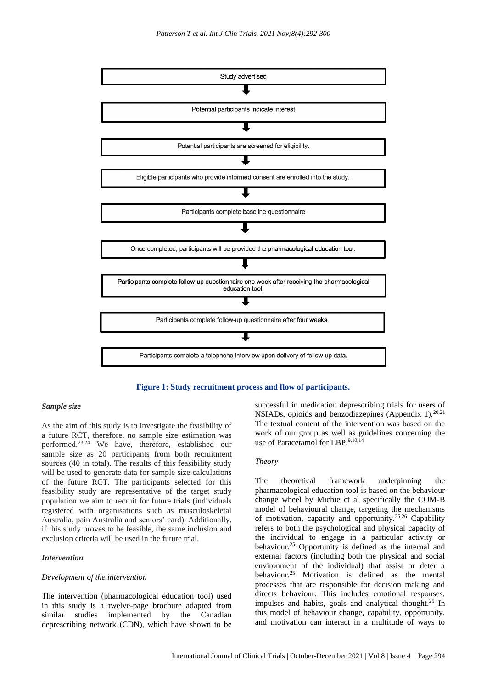

**Figure 1: Study recruitment process and flow of participants.**

#### *Sample size*

As the aim of this study is to investigate the feasibility of a future RCT, therefore, no sample size estimation was performed.23,24 We have, therefore, established our sample size as 20 participants from both recruitment sources (40 in total). The results of this feasibility study will be used to generate data for sample size calculations of the future RCT. The participants selected for this feasibility study are representative of the target study population we aim to recruit for future trials (individuals registered with organisations such as musculoskeletal Australia, pain Australia and seniors' card). Additionally, if this study proves to be feasible, the same inclusion and exclusion criteria will be used in the future trial.

#### *Intervention*

#### *Development of the intervention*

The intervention (pharmacological education tool) used in this study is a twelve-page brochure adapted from similar studies implemented by the Canadian deprescribing network (CDN), which have shown to be

successful in medication deprescribing trials for users of NSIADs, opioids and benzodiazepines (Appendix 1). $^{20,21}$ The textual content of the intervention was based on the work of our group as well as guidelines concerning the use of Paracetamol for LBP.9,10,14

### *Theory*

The theoretical framework underpinning the pharmacological education tool is based on the behaviour change wheel by Michie et al specifically the COM-B model of behavioural change, targeting the mechanisms of motivation, capacity and opportunity.25,26 Capability refers to both the psychological and physical capacity of the individual to engage in a particular activity or behaviour.<sup>25</sup> Opportunity is defined as the internal and external factors (including both the physical and social environment of the individual) that assist or deter a behaviour.<sup>25</sup> Motivation is defined as the mental processes that are responsible for decision making and directs behaviour. This includes emotional responses, impulses and habits, goals and analytical thought.<sup>25</sup> In this model of behaviour change, capability, opportunity, and motivation can interact in a multitude of ways to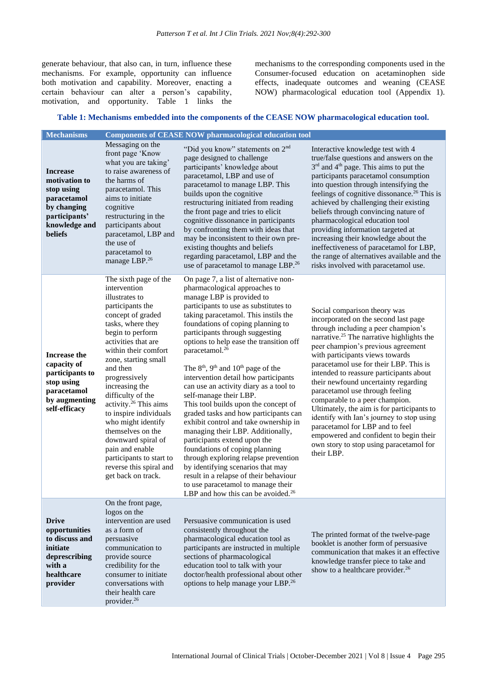generate behaviour, that also can, in turn, influence these mechanisms. For example, opportunity can influence both motivation and capability. Moreover, enacting a certain behaviour can alter a person's capability, motivation, and opportunity. Table 1 links the mechanisms to the corresponding components used in the Consumer-focused education on acetaminophen side effects, inadequate outcomes and weaning (CEASE NOW) pharmacological education tool (Appendix 1).

## **Table 1: Mechanisms embedded into the components of the CEASE NOW pharmacological education tool.**

| <b>Mechanisms</b>                                                                                                                |                                                                                                                                                                                                                                                                                                                                                                                                                                                                                                                      | <b>Components of CEASE NOW pharmacological education tool</b>                                                                                                                                                                                                                                                                                                                                                                                                                                                                                                                                                                                                                                                                                                                                                                                                                                                                                 |                                                                                                                                                                                                                                                                                                                                                                                                                                                                                                                                                                                                                                                                                  |
|----------------------------------------------------------------------------------------------------------------------------------|----------------------------------------------------------------------------------------------------------------------------------------------------------------------------------------------------------------------------------------------------------------------------------------------------------------------------------------------------------------------------------------------------------------------------------------------------------------------------------------------------------------------|-----------------------------------------------------------------------------------------------------------------------------------------------------------------------------------------------------------------------------------------------------------------------------------------------------------------------------------------------------------------------------------------------------------------------------------------------------------------------------------------------------------------------------------------------------------------------------------------------------------------------------------------------------------------------------------------------------------------------------------------------------------------------------------------------------------------------------------------------------------------------------------------------------------------------------------------------|----------------------------------------------------------------------------------------------------------------------------------------------------------------------------------------------------------------------------------------------------------------------------------------------------------------------------------------------------------------------------------------------------------------------------------------------------------------------------------------------------------------------------------------------------------------------------------------------------------------------------------------------------------------------------------|
| <b>Increase</b><br>motivation to<br>stop using<br>paracetamol<br>by changing<br>participants'<br>knowledge and<br><b>beliefs</b> | Messaging on the<br>front page 'Know<br>what you are taking'<br>to raise awareness of<br>the harms of<br>paracetamol. This<br>aims to initiate<br>cognitive<br>restructuring in the<br>participants about<br>paracetamol, LBP and<br>the use of<br>paracetamol to<br>manage LBP. <sup>26</sup>                                                                                                                                                                                                                       | "Did you know" statements on 2 <sup>nd</sup><br>page designed to challenge<br>participants' knowledge about<br>paracetamol, LBP and use of<br>paracetamol to manage LBP. This<br>builds upon the cognitive<br>restructuring initiated from reading<br>the front page and tries to elicit<br>cognitive dissonance in participants<br>by confronting them with ideas that<br>may be inconsistent to their own pre-<br>existing thoughts and beliefs<br>regarding paracetamol, LBP and the<br>use of paracetamol to manage LBP. <sup>26</sup>                                                                                                                                                                                                                                                                                                                                                                                                    | Interactive knowledge test with 4<br>true/false questions and answers on the<br>$3rd$ and $4th$ page. This aims to put the<br>participants paracetamol consumption<br>into question through intensifying the<br>feelings of cognitive dissonance. <sup>26</sup> This is<br>achieved by challenging their existing<br>beliefs through convincing nature of<br>pharmacological education tool<br>providing information targeted at<br>increasing their knowledge about the<br>ineffectiveness of paracetamol for LBP,<br>the range of alternatives available and the<br>risks involved with paracetamol use.                                                                       |
| <b>Increase the</b><br>capacity of<br>participants to<br>stop using<br>paracetamol<br>by augmenting<br>self-efficacy             | The sixth page of the<br>intervention<br>illustrates to<br>participants the<br>concept of graded<br>tasks, where they<br>begin to perform<br>activities that are<br>within their comfort<br>zone, starting small<br>and then<br>progressively<br>increasing the<br>difficulty of the<br>activity. <sup>26</sup> This aims<br>to inspire individuals<br>who might identify<br>themselves on the<br>downward spiral of<br>pain and enable<br>participants to start to<br>reverse this spiral and<br>get back on track. | On page 7, a list of alternative non-<br>pharmacological approaches to<br>manage LBP is provided to<br>participants to use as substitutes to<br>taking paracetamol. This instils the<br>foundations of coping planning to<br>participants through suggesting<br>options to help ease the transition off<br>paracetamol. <sup>26</sup><br>The $8th$ , $9th$ and $10th$ page of the<br>intervention detail how participants<br>can use an activity diary as a tool to<br>self-manage their LBP.<br>This tool builds upon the concept of<br>graded tasks and how participants can<br>exhibit control and take ownership in<br>managing their LBP. Additionally,<br>participants extend upon the<br>foundations of coping planning<br>through exploring relapse prevention<br>by identifying scenarios that may<br>result in a relapse of their behaviour<br>to use paracetamol to manage their<br>LBP and how this can be avoided. <sup>26</sup> | Social comparison theory was<br>incorporated on the second last page<br>through including a peer champion's<br>narrative. <sup>25</sup> The narrative highlights the<br>peer champion's previous agreement<br>with participants views towards<br>paracetamol use for their LBP. This is<br>intended to reassure participants about<br>their newfound uncertainty regarding<br>paracetamol use through feeling<br>comparable to a peer champion.<br>Ultimately, the aim is for participants to<br>identify with Ian's journey to stop using<br>paracetamol for LBP and to feel<br>empowered and confident to begin their<br>own story to stop using paracetamol for<br>their LBP. |
| <b>Drive</b><br>opportunities<br>to discuss and<br>initiate<br>deprescribing<br>with a<br>healthcare<br>provider                 | On the front page,<br>logos on the<br>intervention are used<br>as a form of<br>persuasive<br>communication to<br>provide source<br>credibility for the<br>consumer to initiate<br>conversations with<br>their health care<br>provider. <sup>26</sup>                                                                                                                                                                                                                                                                 | Persuasive communication is used<br>consistently throughout the<br>pharmacological education tool as<br>participants are instructed in multiple<br>sections of pharmacological<br>education tool to talk with your<br>doctor/health professional about other<br>options to help manage your LBP. <sup>26</sup>                                                                                                                                                                                                                                                                                                                                                                                                                                                                                                                                                                                                                                | The printed format of the twelve-page<br>booklet is another form of persuasive<br>communication that makes it an effective<br>knowledge transfer piece to take and<br>show to a healthcare provider. <sup>26</sup>                                                                                                                                                                                                                                                                                                                                                                                                                                                               |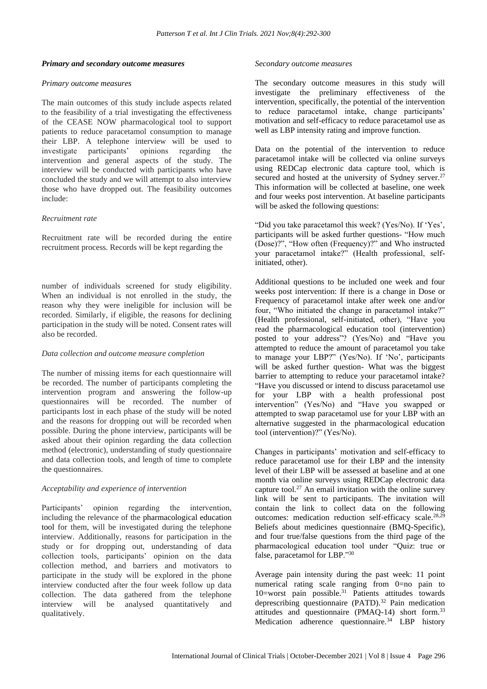#### *Primary and secondary outcome measures*

#### *Primary outcome measures*

The main outcomes of this study include aspects related to the feasibility of a trial investigating the effectiveness of the CEASE NOW pharmacological tool to support patients to reduce paracetamol consumption to manage their LBP. A telephone interview will be used to investigate participants' opinions regarding the intervention and general aspects of the study. The interview will be conducted with participants who have concluded the study and we will attempt to also interview those who have dropped out. The feasibility outcomes include:

## *Recruitment rate*

Recruitment rate will be recorded during the entire recruitment process. Records will be kept regarding the

number of individuals screened for study eligibility. When an individual is not enrolled in the study, the reason why they were ineligible for inclusion will be recorded. Similarly, if eligible, the reasons for declining participation in the study will be noted. Consent rates will also be recorded.

## *Data collection and outcome measure completion*

The number of missing items for each questionnaire will be recorded. The number of participants completing the intervention program and answering the follow-up questionnaires will be recorded. The number of participants lost in each phase of the study will be noted and the reasons for dropping out will be recorded when possible. During the phone interview, participants will be asked about their opinion regarding the data collection method (electronic), understanding of study questionnaire and data collection tools, and length of time to complete the questionnaires.

## *Acceptability and experience of intervention*

Participants' opinion regarding the intervention, including the relevance of the pharmacological education tool for them, will be investigated during the telephone interview. Additionally, reasons for participation in the study or for dropping out, understanding of data collection tools, participants' opinion on the data collection method, and barriers and motivators to participate in the study will be explored in the phone interview conducted after the four week follow up data collection. The data gathered from the telephone interview will be analysed quantitatively and qualitatively.

#### *Secondary outcome measures*

The secondary outcome measures in this study will investigate the preliminary effectiveness of the intervention, specifically, the potential of the intervention to reduce paracetamol intake, change participants' motivation and self-efficacy to reduce paracetamol use as well as LBP intensity rating and improve function.

Data on the potential of the intervention to reduce paracetamol intake will be collected via online surveys using REDCap electronic data capture tool, which is secured and hosted at the university of Sydney server.<sup>27</sup> This information will be collected at baseline, one week and four weeks post intervention. At baseline participants will be asked the following questions:

"Did you take paracetamol this week? (Yes/No). If 'Yes', participants will be asked further questions- "How much (Dose)?", "How often (Frequency)?" and Who instructed your paracetamol intake?" (Health professional, selfinitiated, other).

Additional questions to be included one week and four weeks post intervention: If there is a change in Dose or Frequency of paracetamol intake after week one and/or four, "Who initiated the change in paracetamol intake?" (Health professional, self-initiated, other), "Have you read the pharmacological education tool (intervention) posted to your address"? (Yes/No) and "Have you attempted to reduce the amount of paracetamol you take to manage your LBP?" (Yes/No). If 'No', participants will be asked further question- What was the biggest barrier to attempting to reduce your paracetamol intake? "Have you discussed or intend to discuss paracetamol use for your LBP with a health professional post intervention" (Yes/No) and "Have you swapped or attempted to swap paracetamol use for your LBP with an alternative suggested in the pharmacological education tool (intervention)?" (Yes/No).

Changes in participants' motivation and self-efficacy to reduce paracetamol use for their LBP and the intensity level of their LBP will be assessed at baseline and at one month via online surveys using REDCap electronic data capture tool. $27$  An email invitation with the online survey link will be sent to participants. The invitation will contain the link to collect data on the following outcomes: medication reduction self-efficacy scale.<sup>28,29</sup> Beliefs about medicines questionnaire (BMQ-Specific), and four true/false questions from the third page of the pharmacological education tool under "Quiz: true or false, paracetamol for LBP."<sup>30</sup>

Average pain intensity during the past week: 11 point numerical rating scale ranging from 0=no pain to 10=worst pain possible.<sup>31</sup> Patients attitudes towards deprescribing questionnaire (PATD).<sup>32</sup> Pain medication attitudes and questionnaire (PMAQ-14) short form.<sup>33</sup> Medication adherence questionnaire.<sup>34</sup> LBP history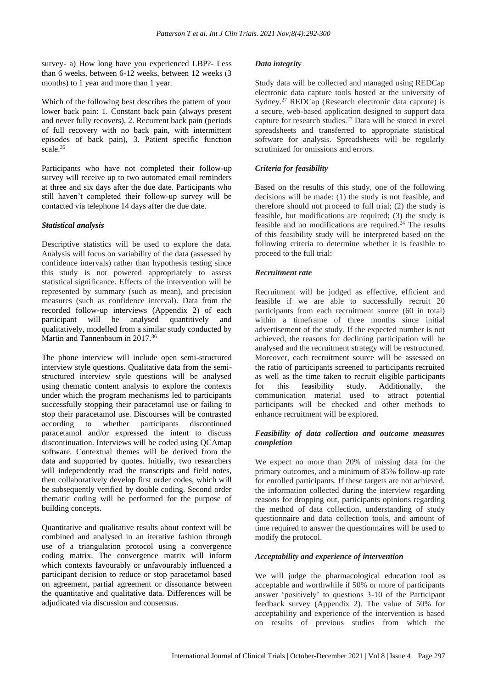survey- a) How long have you experienced LBP?- Less than 6 weeks, between 6-12 weeks, between 12 weeks (3 months) to 1 year and more than 1 year.

Which of the following best describes the pattern of your lower back pain: 1. Constant back pain (always present and never fully recovers), 2. Recurrent back pain (periods of full recovery with no back pain, with intermittent episodes of back pain), 3. Patient specific function scale.<sup>35</sup>

Participants who have not completed their follow-up survey will receive up to two automated email reminders at three and six days after the due date. Participants who still haven't completed their follow-up survey will be contacted via telephone 14 days after the due date.

## *Statistical analysis*

Descriptive statistics will be used to explore the data. Analysis will focus on variability of the data (assessed by confidence intervals) rather than hypothesis testing since this study is not powered appropriately to assess statistical significance. Effects of the intervention will be represented by summary (such as mean), and precision measures (such as confidence interval). Data from the recorded follow-up interviews (Appendix 2) of each participant will be analysed quantitively and qualitatively, modelled from a similar study conducted by Martin and Tannenbaum in 2017.<sup>36</sup>

The phone interview will include open semi-structured interview style questions. Qualitative data from the semistructured interview style questions will be analysed using thematic content analysis to explore the contexts under which the program mechanisms led to participants successfully stopping their paracetamol use or failing to stop their paracetamol use. Discourses will be contrasted according to whether participants discontinued paracetamol and/or expressed the intent to discuss discontinuation. Interviews will be coded using QCAmap software. Contextual themes will be derived from the data and supported by quotes. Initially, two researchers will independently read the transcripts and field notes, then collaboratively develop first order codes, which will be subsequently verified by double coding. Second order thematic coding will be performed for the purpose of building concepts.

Quantitative and qualitative results about context will be combined and analysed in an iterative fashion through use of a triangulation protocol using a convergence coding matrix. The convergence matrix will inform which contexts favourably or unfavourably influenced a participant decision to reduce or stop paracetamol based on agreement, partial agreement or dissonance between the quantitative and qualitative data. Differences will be adjudicated via discussion and consensus.

## *Data integrity*

Study data will be collected and managed using REDCap electronic data capture tools hosted at the university of Sydney.<sup>27</sup> REDCap (Research electronic data capture) is a secure, web-based application designed to support data capture for research studies.<sup>27</sup> Data will be stored in excel spreadsheets and transferred to appropriate statistical software for analysis. Spreadsheets will be regularly scrutinized for omissions and errors.

## *Criteria for feasibility*

Based on the results of this study, one of the following decisions will be made: (1) the study is not feasible, and therefore should not proceed to full trial; (2) the study is feasible, but modifications are required; (3) the study is feasible and no modifications are required.<sup>24</sup> The results of this feasibility study will be interpreted based on the following criteria to determine whether it is feasible to proceed to the full trial:

## *Recruitment rate*

Recruitment will be judged as effective, efficient and feasible if we are able to successfully recruit 20 participants from each recruitment source (60 in total) within a timeframe of three months since initial advertisement of the study. If the expected number is not achieved, the reasons for declining participation will be analysed and the recruitment strategy will be restructured. Moreover, each recruitment source will be assessed on the ratio of participants screened to participants recruited as well as the time taken to recruit eligible participants for this feasibility study. Additionally, the communication material used to attract potential participants will be checked and other methods to enhance recruitment will be explored.

## *Feasibility of data collection and outcome measures completion*

We expect no more than 20% of missing data for the primary outcomes, and a minimum of 85% follow-up rate for enrolled participants. If these targets are not achieved, the information collected during the interview regarding reasons for dropping out, participants opinions regarding the method of data collection, understanding of study questionnaire and data collection tools, and amount of time required to answer the questionnaires will be used to modify the protocol.

## *Acceptability and experience of intervention*

We will judge the pharmacological education tool as acceptable and worthwhile if 50% or more of participants answer 'positively' to questions 3-10 of the Participant feedback survey (Appendix 2). The value of 50% for acceptability and experience of the intervention is based on results of previous studies from which the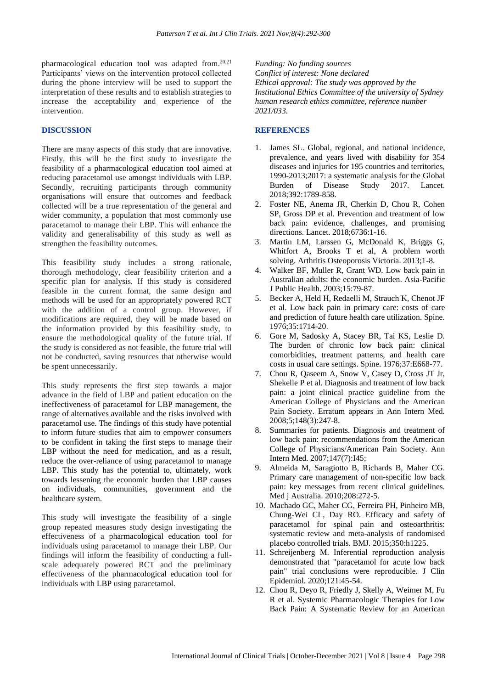pharmacological education tool was adapted from.<sup>20,21</sup> Participants' views on the intervention protocol collected during the phone interview will be used to support the interpretation of these results and to establish strategies to increase the acceptability and experience of the intervention.

#### **DISCUSSION**

There are many aspects of this study that are innovative. Firstly, this will be the first study to investigate the feasibility of a pharmacological education tool aimed at reducing paracetamol use amongst individuals with LBP. Secondly, recruiting participants through community organisations will ensure that outcomes and feedback collected will be a true representation of the general and wider community, a population that most commonly use paracetamol to manage their LBP. This will enhance the validity and generalisability of this study as well as strengthen the feasibility outcomes.

This feasibility study includes a strong rationale, thorough methodology, clear feasibility criterion and a specific plan for analysis. If this study is considered feasible in the current format, the same design and methods will be used for an appropriately powered RCT with the addition of a control group. However, if modifications are required, they will be made based on the information provided by this feasibility study, to ensure the methodological quality of the future trial. If the study is considered as not feasible, the future trial will not be conducted, saving resources that otherwise would be spent unnecessarily.

This study represents the first step towards a major advance in the field of LBP and patient education on the ineffectiveness of paracetamol for LBP management, the range of alternatives available and the risks involved with paracetamol use. The findings of this study have potential to inform future studies that aim to empower consumers to be confident in taking the first steps to manage their LBP without the need for medication, and as a result, reduce the over-reliance of using paracetamol to manage LBP. This study has the potential to, ultimately, work towards lessening the economic burden that LBP causes on individuals, communities, government and the healthcare system.

This study will investigate the feasibility of a single group repeated measures study design investigating the effectiveness of a pharmacological education tool for individuals using paracetamol to manage their LBP. Our findings will inform the feasibility of conducting a fullscale adequately powered RCT and the preliminary effectiveness of the pharmacological education tool for individuals with LBP using paracetamol.

*Funding: No funding sources Conflict of interest: None declared Ethical approval: The study was approved by the Institutional Ethics Committee of the university of Sydney human research ethics committee, reference number 2021/033.*

#### **REFERENCES**

- 1. James SL. Global, regional, and national incidence, prevalence, and years lived with disability for 354 diseases and injuries for 195 countries and territories, 1990-2013;2017: a systematic analysis for the Global Burden of Disease Study 2017. Lancet. 2018;392:1789-858.
- 2. Foster NE, Anema JR, Cherkin D, Chou R, Cohen SP, Gross DP et al. Prevention and treatment of low back pain: evidence, challenges, and promising directions. Lancet. 2018;6736:1-16.
- 3. Martin LM, Larssen G, McDonald K, Briggs G, Whitfort A, Brooks T et al, A problem worth solving. Arthritis Osteoporosis Victoria. 2013;1-8.
- 4. Walker BF, Muller R, Grant WD. Low back pain in Australian adults: the economic burden. Asia-Pacific J Public Health. 2003;15:79-87.
- 5. Becker A, Held H, Redaelli M, Strauch K, Chenot JF et al. Low back pain in primary care: costs of care and prediction of future health care utilization. Spine. 1976;35:1714-20.
- 6. Gore M, Sadosky A, Stacey BR, Tai KS, Leslie D. The burden of chronic low back pain: clinical comorbidities, treatment patterns, and health care costs in usual care settings. Spine. 1976;37:E668-77.
- 7. Chou R, Qaseem A, Snow V, Casey D, Cross JT Jr, Shekelle P et al. Diagnosis and treatment of low back pain: a joint clinical practice guideline from the American College of Physicians and the American Pain Society. Erratum appears in Ann Intern Med. 2008;5;148(3):247-8.
- 8. Summaries for patients. Diagnosis and treatment of low back pain: recommendations from the American College of Physicians/American Pain Society. Ann Intern Med. 2007;147(7):I45;
- 9. Almeida M, Saragiotto B, Richards B, Maher CG. Primary care management of non-specific low back pain: key messages from recent clinical guidelines. Med j Australia. 2010;208:272-5.
- 10. Machado GC, Maher CG, Ferreira PH, Pinheiro MB, Chung-Wei CL, Day RO. Efficacy and safety of paracetamol for spinal pain and osteoarthritis: systematic review and meta-analysis of randomised placebo controlled trials. BMJ. 2015;350:h1225.
- 11. Schreijenberg M. Inferential reproduction analysis demonstrated that "paracetamol for acute low back pain" trial conclusions were reproducible. J Clin Epidemiol. 2020;121:45-54.
- 12. Chou R, Deyo R, Friedly J, Skelly A, Weimer M, Fu R et al. Systemic Pharmacologic Therapies for Low Back Pain: A Systematic Review for an American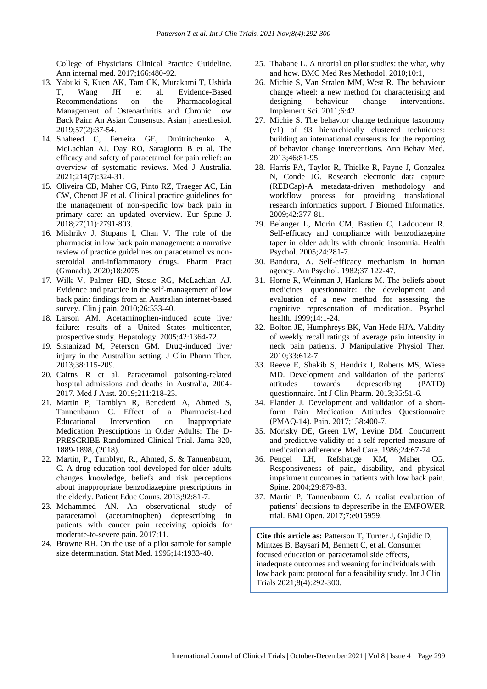College of Physicians Clinical Practice Guideline. Ann internal med. 2017;166:480-92.

- 13. Yabuki S, Kuen AK, Tam CK, Murakami T, Ushida T, Wang JH et al. Evidence-Based Recommendations on the Pharmacological Management of Osteoarthritis and Chronic Low Back Pain: An Asian Consensus. Asian j anesthesiol. 2019;57(2):37-54.
- 14. Shaheed C, Ferreira GE, Dmitritchenko A, McLachlan AJ, Day RO, Saragiotto B et al. The efficacy and safety of paracetamol for pain relief: an overview of systematic reviews. Med J Australia. 2021;214(7):324-31.
- 15. Oliveira CB, Maher CG, Pinto RZ, Traeger AC, Lin CW, Chenot JF et al. Clinical practice guidelines for the management of non-specific low back pain in primary care: an updated overview. Eur Spine J. 2018;27(11):2791-803.
- 16. Mishriky J, Stupans I, Chan V. The role of the pharmacist in low back pain management: a narrative review of practice guidelines on paracetamol vs nonsteroidal anti-inflammatory drugs. Pharm Pract (Granada). 2020;18:2075.
- 17. Wilk V, Palmer HD, Stosic RG, McLachlan AJ. Evidence and practice in the self-management of low back pain: findings from an Australian internet-based survey. Clin j pain. 2010;26:533-40.
- 18. Larson AM. Acetaminophen-induced acute liver failure: results of a United States multicenter, prospective study. Hepatology. 2005;42:1364-72.
- 19. Sistanizad M, Peterson GM. Drug-induced liver injury in the Australian setting. J Clin Pharm Ther. 2013;38:115-209.
- 20. Cairns R et al. Paracetamol poisoning-related hospital admissions and deaths in Australia, 2004- 2017. Med J Aust. 2019;211:218-23.
- 21. Martin P, Tamblyn R, Benedetti A, Ahmed S, Tannenbaum C. Effect of a Pharmacist-Led Educational Intervention on Inappropriate Medication Prescriptions in Older Adults: The D-PRESCRIBE Randomized Clinical Trial. Jama 320, 1889-1898, (2018).
- 22. Martin, P., Tamblyn, R., Ahmed, S. & Tannenbaum, C. A drug education tool developed for older adults changes knowledge, beliefs and risk perceptions about inappropriate benzodiazepine prescriptions in the elderly. Patient Educ Couns. 2013;92:81-7.
- 23. Mohammed AN. An observational study of paracetamol (acetaminophen) deprescribing in patients with cancer pain receiving opioids for moderate-to-severe pain. 2017;11.
- 24. Browne RH. On the use of a pilot sample for sample size determination. Stat Med. 1995;14:1933-40.
- 25. Thabane L. A tutorial on pilot studies: the what, why and how. BMC Med Res Methodol. 2010;10:1,
- 26. Michie S, Van Stralen MM, West R. The behaviour change wheel: a new method for characterising and designing behaviour change interventions. Implement Sci. 2011;6:42.
- 27. Michie S. The behavior change technique taxonomy (v1) of 93 hierarchically clustered techniques: building an international consensus for the reporting of behavior change interventions. Ann Behav Med. 2013;46:81-95.
- 28. Harris PA, Taylor R, Thielke R, Payne J, Gonzalez N, Conde JG. Research electronic data capture (REDCap)-A metadata-driven methodology and workflow process for providing translational research informatics support. J Biomed Informatics. 2009;42:377-81.
- 29. Belanger L, Morin CM, Bastien C, Ladouceur R. Self-efficacy and compliance with benzodiazepine taper in older adults with chronic insomnia. Health Psychol. 2005;24:281-7.
- 30. Bandura, A. Self-efficacy mechanism in human agency. Am Psychol. 1982;37:122-47.
- 31. Horne R, Weinman J, Hankins M. The beliefs about medicines questionnaire: the development and evaluation of a new method for assessing the cognitive representation of medication. Psychol health. 1999;14:1-24.
- 32. Bolton JE, Humphreys BK, Van Hede HJA. Validity of weekly recall ratings of average pain intensity in neck pain patients. J Manipulative Physiol Ther. 2010;33:612-7.
- 33. Reeve E, Shakib S, Hendrix I, Roberts MS, Wiese MD. Development and validation of the patients' attitudes towards deprescribing (PATD) questionnaire. Int J Clin Pharm. 2013;35:51-6.
- 34. Elander J. Development and validation of a shortform Pain Medication Attitudes Questionnaire (PMAQ-14). Pain. 2017;158:400-7.
- 35. Morisky DE, Green LW, Levine DM. Concurrent and predictive validity of a self-reported measure of medication adherence. Med Care. 1986;24:67-74.
- 36. Pengel LH, Refshauge KM, Maher CG. Responsiveness of pain, disability, and physical impairment outcomes in patients with low back pain. Spine. 2004;29:879-83.
- 37. Martin P, Tannenbaum C. A realist evaluation of patients' decisions to deprescribe in the EMPOWER trial. BMJ Open. 2017;7:e015959.

**Cite this article as:** Patterson T, Turner J, Gnjidic D, Mintzes B, Baysari M, Bennett C, et al. Consumer focused education on paracetamol side effects, inadequate outcomes and weaning for individuals with low back pain: protocol for a feasibility study. Int J Clin Trials 2021;8(4):292-300.